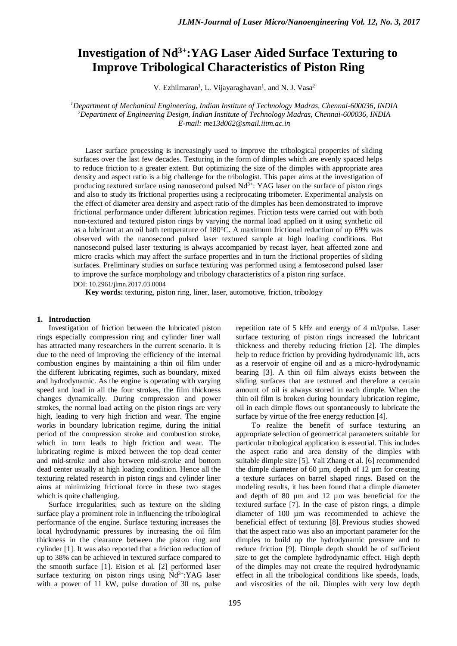# **Investigation of Nd3+:YAG Laser Aided Surface Texturing to Improve Tribological Characteristics of Piston Ring**

V. Ezhilmaran<sup>1</sup>, L. Vijayaraghavan<sup>1</sup>, and N. J. Vasa<sup>2</sup>

*1 Department of Mechanical Engineering, Indian Institute of Technology Madras, Chennai-600036, INDIA 2 Department of Engineering Design, Indian Institute of Technology Madras, Chennai-600036, INDIA E-mail: me13d062@smail.iitm.ac.in*

Laser surface processing is increasingly used to improve the tribological properties of sliding surfaces over the last few decades. Texturing in the form of dimples which are evenly spaced helps to reduce friction to a greater extent. But optimizing the size of the dimples with appropriate area density and aspect ratio is a big challenge for the tribologist. This paper aims at the investigation of producing textured surface using nanosecond pulsed  $Nd<sup>3+</sup>$ : YAG laser on the surface of piston rings and also to study its frictional properties using a reciprocating tribometer. Experimental analysis on the effect of diameter area density and aspect ratio of the dimples has been demonstrated to improve frictional performance under different lubrication regimes. Friction tests were carried out with both non-textured and textured piston rings by varying the normal load applied on it using synthetic oil as a lubricant at an oil bath temperature of 180°C. A maximum frictional reduction of up 69% was observed with the nanosecond pulsed laser textured sample at high loading conditions. But nanosecond pulsed laser texturing is always accompanied by recast layer, heat affected zone and micro cracks which may affect the surface properties and in turn the frictional properties of sliding surfaces. Preliminary studies on surface texturing was performed using a femtosecond pulsed laser to improve the surface morphology and tribology characteristics of a piston ring surface.

DOI: 10.2961/jlmn.2017.03.0004

**Key words:** texturing, piston ring, liner, laser, automotive, friction, tribology

#### **1. Introduction**

Investigation of friction between the lubricated piston rings especially compression ring and cylinder liner wall has attracted many researchers in the current scenario. It is due to the need of improving the efficiency of the internal combustion engines by maintaining a thin oil film under the different lubricating regimes, such as boundary, mixed and hydrodynamic. As the engine is operating with varying speed and load in all the four strokes, the film thickness changes dynamically. During compression and power strokes, the normal load acting on the piston rings are very high, leading to very high friction and wear. The engine works in boundary lubrication regime, during the initial period of the compression stroke and combustion stroke, which in turn leads to high friction and wear. The lubricating regime is mixed between the top dead center and mid-stroke and also between mid-stroke and bottom dead center usually at high loading condition. Hence all the texturing related research in piston rings and cylinder liner aims at minimizing frictional force in these two stages which is quite challenging.

Surface irregularities, such as texture on the sliding surface play a prominent role in influencing the tribological performance of the engine. Surface texturing increases the local hydrodynamic pressures by increasing the oil film thickness in the clearance between the piston ring and cylinder [\[1\]](#page-7-0). It was also reported that a friction reduction of up to 38% can be achieved in textured surface compared to the smooth surface [\[1\]](#page-7-0). Etsion et al. [\[2\]](#page-7-1) performed laser surface texturing on piston rings using  $Nd^{3+}$ :YAG laser with a power of 11 kW, pulse duration of 30 ns, pulse

repetition rate of 5 kHz and energy of 4 mJ/pulse. Laser surface texturing of piston rings increased the lubricant thickness and thereby reducing friction [2]. The dimples help to reduce friction by providing hydrodynamic lift, acts as a reservoir of engine oil and as a micro-hydrodynamic bearing [\[3\]](#page-7-2). A thin oil film always exists between the sliding surfaces that are textured and therefore a certain amount of oil is always stored in each dimple. When the thin oil film is broken during boundary lubrication regime, oil in each dimple flows out spontaneously to lubricate the surface by virtue of the free energy reduction [\[4\]](#page-7-3).

To realize the benefit of surface texturing an appropriate selection of geometrical parameters suitable for particular tribological application is essential. This includes the aspect ratio and area density of the dimples with suitable dimple size [\[5\]](#page-7-4). Yali Zhang et al. [6] recommended the dimple diameter of 60  $\mu$ m, depth of 12  $\mu$ m for creating a texture surfaces on barrel shaped rings. Based on the modeling results, it has been found that a dimple diameter and depth of 80 µm and 12 µm was beneficial for the textured surface [7]. In the case of piston rings, a dimple diameter of 100 µm was recommended to achieve the beneficial effect of texturing [8]. Previous studies showed that the aspect ratio was also an important parameter for the dimples to build up the hydrodynamic pressure and to reduce friction [\[9\]](#page-7-5). Dimple depth should be of sufficient size to get the complete hydrodynamic effect. High depth of the dimples may not create the required hydrodynamic effect in all the tribological conditions like speeds, loads, and viscosities of the oil. Dimples with very low depth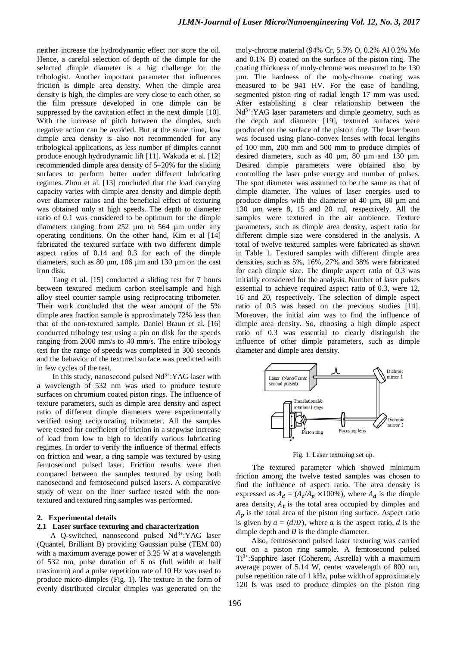neither increase the hydrodynamic effect nor store the oil. Hence, a careful selection of depth of the dimple for the selected dimple diameter is a big challenge for the tribologist. Another important parameter that influences friction is dimple area density. When the dimple area density is high, the dimples are very close to each other, so the film pressure developed in one dimple can be suppressed by the cavitation effect in the next dimple [\[10\]](#page-7-5). With the increase of pitch between the dimples, such negative action can be avoided. But at the same time, low dimple area density is also not recommended for any tribological applications, as less number of dimples cannot produce enough hydrodynamic lift [11]. Wakuda et al. [12] recommended dimple area density of 5–20% for the sliding surfaces to perform better under different lubricating regimes. Zhou et al. [13] concluded that the load carrying capacity varies with dimple area density and dimple depth over diameter ratios and the beneficial effect of texturing was obtained only at high speeds. The depth to diameter ratio of 0.1 was considered to be optimum for the dimple diameters ranging from 252 µm to 564 µm under any operating conditions. On the other hand, Kim et al [14] fabricated the textured surface with two different dimple aspect ratios of 0.14 and 0.3 for each of the dimple diameters, such as 80 µm, 106 µm and 130 µm on the cast iron disk.

Tang et al. [15] conducted a sliding test for 7 hours between textured medium carbon steel sample and high alloy steel counter sample using reciprocating tribometer. Their work concluded that the wear amount of the 5% dimple area fraction sample is approximately 72% less than that of the non-textured sample. Daniel Braun et al. [16] conducted tribology test using a pin on disk for the speeds ranging from 2000 mm/s to 40 mm/s. The entire tribology test for the range of speeds was completed in 300 seconds and the behavior of the textured surface was predicted with in few cycles of the test.

In this study, nanosecond pulsed  $Nd^{3+}$ :YAG laser with a wavelength of 532 nm was used to produce texture surfaces on chromium coated piston rings. The influence of texture parameters, such as dimple area density and aspect ratio of different dimple diameters were experimentally verified using reciprocating tribometer. All the samples were tested for coefficient of friction in a stepwise increase of load from low to high to identify various lubricating regimes. In order to verify the influence of thermal effects on friction and wear, a ring sample was textured by using femtosecond pulsed laser. Friction results were then compared between the samples textured by using both nanosecond and femtosecond pulsed lasers. A comparative study of wear on the liner surface tested with the nontextured and textured ring samples was performed.

### **2. Experimental details**

## **2.1 Laser surface texturing and characterization**

A Q-switched, nanosecond pulsed  $Nd^{3+}$ :YAG laser (Quantel, Brilliant B) providing Gaussian pulse (TEM 00) with a maximum average power of 3.25 W at a wavelength of 532 nm, pulse duration of 6 ns (full width at half maximum) and a pulse repetition rate of 10 Hz was used to produce micro-dimples (Fig. 1). The texture in the form of evenly distributed circular dimples was generated on the

moly-chrome material (94% Cr, 5.5% O, 0.2% Al 0.2% Mo and 0.1% B) coated on the surface of the piston ring. The coating thickness of moly-chrome was measured to be 130 µm. The hardness of the moly-chrome coating was measured to be 941 HV. For the ease of handling, segmented piston ring of radial length 17 mm was used. After establishing a clear relationship between the  $Nd^{3+}$ :YAG laser parameters and dimple geometry, such as the depth and diameter [19], textured surfaces were produced on the surface of the piston ring. The laser beam was focused using plano-convex lenses with focal lengths of 100 mm, 200 mm and 500 mm to produce dimples of desired diameters, such as 40 µm, 80 µm and 130 µm. Desired dimple parameters were obtained also by controlling the laser pulse energy and number of pulses. The spot diameter was assumed to be the same as that of dimple diameter. The values of laser energies used to produce dimples with the diameter of 40 µm, 80 µm and 130 µm were 8, 15 and 20 mJ, respectively. All the samples were textured in the air ambience. Texture parameters, such as dimple area density, aspect ratio for different dimple size were considered in the analysis. A total of twelve textured samples were fabricated as shown in Table 1. Textured samples with different dimple area densities, such as 5%, 16%, 27% and 38% were fabricated for each dimple size. The dimple aspect ratio of 0.3 was initially considered for the analysis. Number of laser pulses essential to achieve required aspect ratio of 0.3, were 12, 16 and 20, respectively. The selection of dimple aspect ratio of 0.3 was based on the previous studies [14]. Moreover, the initial aim was to find the influence of dimple area density. So, choosing a high dimple aspect ratio of 0.3 was essential to clearly distinguish the influence of other dimple parameters, such as dimple diameter and dimple area density.



Fig. 1. Laser texturing set up.

The textured parameter which showed minimum friction among the twelve tested samples was chosen to find the influence of aspect ratio. The area density is expressed as  $A_d = (A_t/A_p \times 100\%)$ , where  $A_d$  is the dimple area density,  $A_t$  is the total area occupied by dimples and  $A_p$  is the total area of the piston ring surface. Aspect ratio is given by  $a = (d/D)$ , where a is the aspect ratio, d is the dimple depth and  $D$  is the dimple diameter.

Also, femtosecond pulsed laser texturing was carried out on a piston ring sample. A femtosecond pulsed Ti3+:Sapphire laser (Coherent, Astrella) with a maximum average power of 5.14 W, center wavelength of 800 nm, pulse repetition rate of 1 kHz, pulse width of approximately 120 fs was used to produce dimples on the piston ring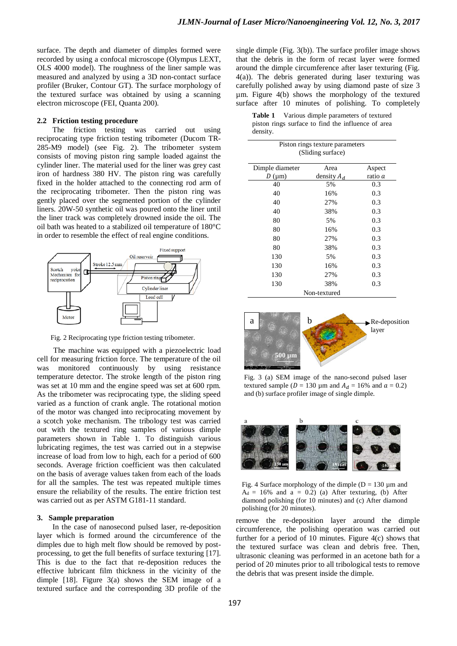surface. The depth and diameter of dimples formed were recorded by using a confocal microscope (Olympus LEXT, OLS 4000 model). The roughness of the liner sample was measured and analyzed by using a 3D non-contact surface profiler (Bruker, Contour GT). The surface morphology of the textured surface was obtained by using a scanning electron microscope (FEI, Quanta 200).

# **2.2 Friction testing procedure**

The friction testing was carried out using reciprocating type friction testing tribometer (Ducom TR-285-M9 model) (see Fig. 2). The tribometer system consists of moving piston ring sample loaded against the cylinder liner. The material used for the liner was grey cast iron of hardness 380 HV. The piston ring was carefully fixed in the holder attached to the connecting rod arm of the reciprocating tribometer. Then the piston ring was gently placed over the segmented portion of the cylinder liners. 20W-50 synthetic oil was poured onto the liner until the liner track was completely drowned inside the oil. The oil bath was heated to a stabilized oil temperature of 180°C in order to resemble the effect of real engine conditions.



Fig. 2 Reciprocating type friction testing tribometer.

The machine was equipped with a piezoelectric load cell for measuring friction force. The temperature of the oil was monitored continuously by using resistance temperature detector. The stroke length of the piston ring was set at 10 mm and the engine speed was set at 600 rpm. As the tribometer was reciprocating type, the sliding speed varied as a function of crank angle. The rotational motion of the motor was changed into reciprocating movement by a scotch yoke mechanism. The tribology test was carried out with the textured ring samples of various dimple parameters shown in Table 1. To distinguish various lubricating regimes, the test was carried out in a stepwise increase of load from low to high, each for a period of 600 seconds. Average friction coefficient was then calculated on the basis of average values taken from each of the loads for all the samples. The test was repeated multiple times ensure the reliability of the results. The entire friction test was carried out as per ASTM G181-11 standard.

#### **3. Sample preparation**

In the case of nanosecond pulsed laser, re-deposition layer which is formed around the circumference of the dimples due to high melt flow should be removed by postprocessing, to get the full benefits of surface texturing [17]. This is due to the fact that re-deposition reduces the effective lubricant film thickness in the vicinity of the dimple [\[18](#page-7-6)]. Figure 3(a) shows the SEM image of a textured surface and the corresponding 3D profile of the single dimple (Fig. 3(b)). The surface profiler image shows that the debris in the form of recast layer were formed around the dimple circumference after laser texturing (Fig. 4(a)). The debris generated during laser texturing was carefully polished away by using diamond paste of size 3 µm. Figure 4(b) shows the morphology of the textured surface after 10 minutes of polishing. To completely

| <b>Table 1</b> Various dimple parameters of textured |
|------------------------------------------------------|
| piston rings surface to find the influence of area   |
| density.                                             |

|                  | Piston rings texture parameters<br>(Sliding surface) |         |
|------------------|------------------------------------------------------|---------|
| Dimple diameter  | Area                                                 | Aspect  |
| $D \text{ (µm)}$ | density $A_d$                                        | ratio a |
| 40               | 5%                                                   | 0.3     |
| 40               | 16%                                                  | 0.3     |
| 40               | 27%                                                  | 0.3     |
| 40               | 38%                                                  | 0.3     |
| 80               | 5%                                                   | 0.3     |
| 80               | 16%                                                  | 0.3     |
| 80               | 27%                                                  | 0.3     |
| 80               | 38%                                                  | 0.3     |
| 130              | 5%                                                   | 0.3     |
| 130              | 16%                                                  | 0.3     |
| 130              | 27%                                                  | 0.3     |
| 130              | 38%                                                  | 0.3     |
|                  | Non-textured                                         |         |



Fig. 3 (a) SEM image of the nano-second pulsed laser textured sample ( $D = 130 \mu$ m and  $A_d = 16\%$  and  $\alpha = 0.2$ ) and (b) surface profiler image of single dimple.



Fig. 4 Surface morphology of the dimple ( $D = 130 \mu m$  and  $A_d = 16\%$  and a = 0.2) (a) After texturing, (b) After diamond polishing (for 10 minutes) and (c) After diamond polishing (for 20 minutes).

remove the re-deposition layer around the dimple circumference, the polishing operation was carried out further for a period of 10 minutes. Figure 4(c) shows that the textured surface was clean and debris free. Then, ultrasonic cleaning was performed in an acetone bath for a period of 20 minutes prior to all tribological tests to remove the debris that was present inside the dimple.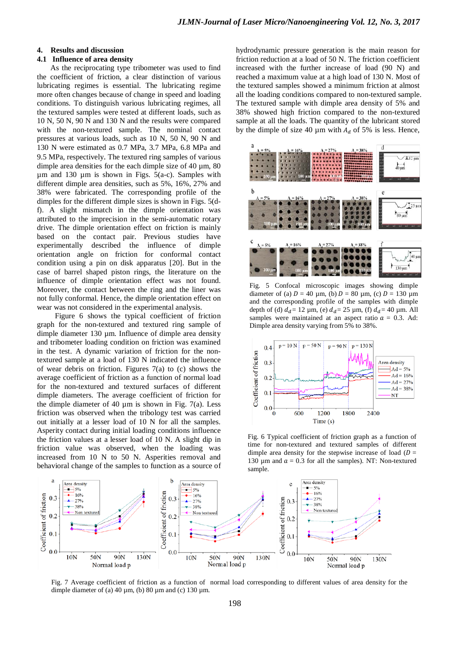# **4. Results and discussion**

# **4.1 Influence of area density**

As the reciprocating type tribometer was used to find the coefficient of friction, a clear distinction of various lubricating regimes is essential. The lubricating regime more often changes because of change in speed and loading conditions. To distinguish various lubricating regimes, all the textured samples were tested at different loads, such as 10 N, 50 N, 90 N and 130 N and the results were compared with the non-textured sample. The nominal contact pressures at various loads, such as 10 N, 50 N, 90 N and 130 N were estimated as 0.7 MPa, 3.7 MPa, 6.8 MPa and 9.5 MPa, respectively. The textured ring samples of various dimple area densities for the each dimple size of 40 um, 80  $\mu$ m and 130  $\mu$ m is shown in Figs. 5(a-c). Samples with different dimple area densities, such as 5%, 16%, 27% and 38% were fabricated. The corresponding profile of the dimples for the different dimple sizes is shown in Figs. 5(df). A slight mismatch in the dimple orientation was attributed to the imprecision in the semi-automatic rotary drive. The dimple orientation effect on friction is mainly based on the contact pair. Previous studies have experimentally described the influence of dimple orientation angle on friction for conformal contact condition using a pin on disk apparatus [20]. But in the case of barrel shaped piston rings, the literature on the influence of dimple orientation effect was not found. Moreover, the contact between the ring and the liner was not fully conformal. Hence, the dimple orientation effect on wear was not considered in the experimental analysis.

Figure 6 shows the typical coefficient of friction graph for the non-textured and textured ring sample of dimple diameter 130 µm. Influence of dimple area density and tribometer loading condition on friction was examined in the test. A dynamic variation of friction for the nontextured sample at a load of 130 N indicated the influence of wear debris on friction. Figures 7(a) to (c) shows the average coefficient of friction as a function of normal load for the non-textured and textured surfaces of different dimple diameters. The average coefficient of friction for the dimple diameter of 40  $\mu$ m is shown in Fig. 7(a). Less friction was observed when the tribology test was carried out initially at a lesser load of 10 N for all the samples. Asperity contact during initial loading conditions influence the friction values at a lesser load of 10 N. A slight dip in friction value was observed, when the loading was increased from 10 N to 50 N. Asperities removal and behavioral change of the samples to function as a source of hydrodynamic pressure generation is the main reason for friction reduction at a load of 50 N. The friction coefficient increased with the further increase of load (90 N) and reached a maximum value at a high load of 130 N. Most of the textured samples showed a minimum friction at almost all the loading conditions compared to non-textured sample. The textured sample with dimple area density of 5% and 38% showed high friction compared to the non-textured sample at all the loads. The quantity of the lubricant stored by the dimple of size 40  $\mu$ m with  $A_d$  of 5% is less. Hence,



Fig. 5 Confocal microscopic images showing dimple diameter of (a)  $D = 40 \mu$ m, (b)  $D = 80 \mu$ m, (c)  $D = 130 \mu$ m and the corresponding profile of the samples with dimple depth of (d)  $d_d = 12 \mu m$ , (e)  $d_d = 25 \mu m$ , (f)  $d_d = 40 \mu m$ . All samples were maintained at an aspect ratio  $a = 0.3$ . Ad: Dimple area density varying from 5% to 38%.



Fig. 6 Typical coefficient of friction graph as a function of time for non-textured and textured samples of different dimple area density for the stepwise increase of load ( $D =$ 130 um and  $a = 0.3$  for all the samples). NT: Non-textured sample.



Fig. 7 Average coefficient of friction as a function of normal load corresponding to different values of area density for the dimple diameter of (a) 40  $\mu$ m, (b) 80  $\mu$ m and (c) 130  $\mu$ m.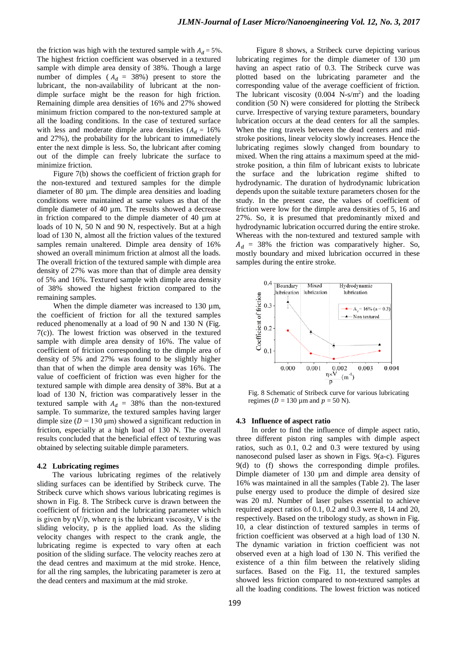the friction was high with the textured sample with  $A_d = 5\%$ . The highest friction coefficient was observed in a textured sample with dimple area density of 38%. Though a large number of dimples ( $A_d = 38\%$ ) present to store the lubricant, the non-availability of lubricant at the nondimple surface might be the reason for high friction. Remaining dimple area densities of 16% and 27% showed minimum friction compared to the non-textured sample at all the loading conditions. In the case of textured surface with less and moderate dimple area densities  $(A_d = 16\%)$ and 27%), the probability for the lubricant to immediately enter the next dimple is less. So, the lubricant after coming out of the dimple can freely lubricate the surface to minimize friction.

Figure 7(b) shows the coefficient of friction graph for the non-textured and textured samples for the dimple diameter of 80 um. The dimple area densities and loading conditions were maintained at same values as that of the dimple diameter of 40 µm. The results showed a decrease in friction compared to the dimple diameter of 40 µm at loads of 10 N, 50 N and 90 N, respectively. But at a high load of 130 N, almost all the friction values of the textured samples remain unaltered. Dimple area density of 16% showed an overall minimum friction at almost all the loads. The overall friction of the textured sample with dimple area density of 27% was more than that of dimple area density of 5% and 16%. Textured sample with dimple area density of 38% showed the highest friction compared to the remaining samples.

When the dimple diameter was increased to  $130 \mu m$ , the coefficient of friction for all the textured samples reduced phenomenally at a load of 90 N and 130 N (Fig. 7(c)). The lowest friction was observed in the textured sample with dimple area density of 16%. The value of coefficient of friction corresponding to the dimple area of density of 5% and 27% was found to be slightly higher than that of when the dimple area density was 16%. The value of coefficient of friction was even higher for the textured sample with dimple area density of 38%. But at a load of 130 N, friction was comparatively lesser in the textured sample with  $A_d = 38\%$  than the non-textured sample. To summarize, the textured samples having larger dimple size ( $D = 130 \text{ }\mu\text{m}$ ) showed a significant reduction in friction, especially at a high load of 130 N. The overall results concluded that the beneficial effect of texturing was obtained by selecting suitable dimple parameters.

#### **4.2 Lubricating regimes**

The various lubricating regimes of the relatively sliding surfaces can be identified by Stribeck curve. The Stribeck curve which shows various lubricating regimes is shown in Fig. 8. The Stribeck curve is drawn between the coefficient of friction and the lubricating parameter which is given by  $\eta V/p$ , where  $\eta$  is the lubricant viscosity, V is the sliding velocity, p is the applied load. As the sliding velocity changes with respect to the crank angle, the lubricating regime is expected to vary often at each position of the sliding surface. The velocity reaches zero at the dead centres and maximum at the mid stroke. Hence, for all the ring samples, the lubricating parameter is zero at the dead centers and maximum at the mid stroke.

Figure 8 shows, a Stribeck curve depicting various lubricating regimes for the dimple diameter of 130 µm having an aspect ratio of 0.3. The Stribeck curve was plotted based on the lubricating parameter and the corresponding value of the average coefficient of friction. The lubricant viscosity  $(0.004 \text{ N-s/m}^2)$  and the loading condition (50 N) were considered for plotting the Stribeck curve. Irrespective of varying texture parameters, boundary lubrication occurs at the dead centers for all the samples. When the ring travels between the dead centers and midstroke positions, linear velocity slowly increases. Hence the lubricating regimes slowly changed from boundary to mixed. When the ring attains a maximum speed at the midstroke position, a thin film of lubricant exists to lubricate the surface and the lubrication regime shifted to hydrodynamic. The duration of hydrodynamic lubrication depends upon the suitable texture parameters chosen for the study. In the present case, the values of coefficient of friction were low for the dimple area densities of 5, 16 and 27%. So, it is presumed that predominantly mixed and hydrodynamic lubrication occurred during the entire stroke. Whereas with the non-textured and textured sample with  $A_d = 38\%$  the friction was comparatively higher. So, mostly boundary and mixed lubrication occurred in these samples during the entire stroke.

![](_page_4_Figure_7.jpeg)

Fig. 8 Schematic of Stribeck curve for various lubricating regimes ( $D = 130 \mu$ m and  $p = 50 \text{ N}$ ).

#### **4.3 Influence of aspect ratio**

In order to find the influence of dimple aspect ratio, three different piston ring samples with dimple aspect ratios, such as 0.1, 0.2 and 0.3 were textured by using nanosecond pulsed laser as shown in Figs. 9(a-c). Figures 9(d) to (f) shows the corresponding dimple profiles. Dimple diameter of 130 µm and dimple area density of 16% was maintained in all the samples (Table 2). The laser pulse energy used to produce the dimple of desired size was 20 mJ. Number of laser pulses essential to achieve required aspect ratios of 0.1, 0.2 and 0.3 were 8, 14 and 20, respectively. Based on the tribology study, as shown in Fig. 10, a clear distinction of textured samples in terms of friction coefficient was observed at a high load of 130 N. The dynamic variation in friction coefficient was not observed even at a high load of 130 N. This verified the existence of a thin film between the relatively sliding surfaces. Based on the Fig. 11, the textured samples showed less friction compared to non-textured samples at all the loading conditions. The lowest friction was noticed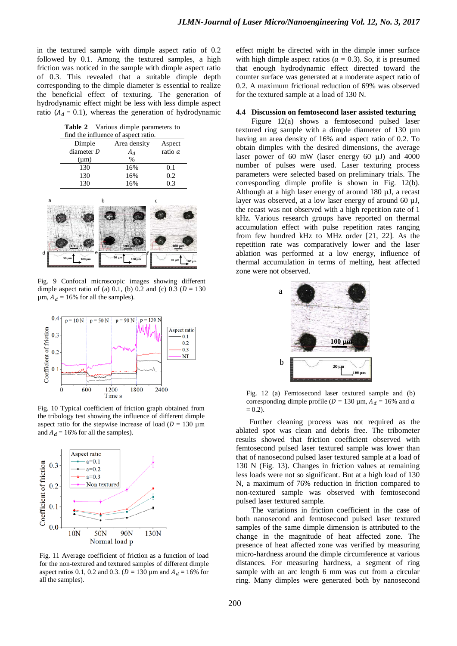in the textured sample with dimple aspect ratio of 0.2 followed by 0.1. Among the textured samples, a high friction was noticed in the sample with dimple aspect ratio of 0.3. This revealed that a suitable dimple depth corresponding to the dimple diameter is essential to realize the beneficial effect of texturing. The generation of hydrodynamic effect might be less with less dimple aspect ratio ( $A_d = 0.1$ ), whereas the generation of hydrodynamic

**Table 2** Various dimple parameters to

| find the influence of aspect ratio. |              |         |
|-------------------------------------|--------------|---------|
| Dimple                              | Area density | Aspect  |
| diameter D                          | $A_d$        | ratio a |
| $(\mu m)$                           | $\%$         |         |
| 130                                 | 16%          | 0.1     |
| 130                                 | 16%          | 0.2     |
| 130                                 | 16%          | 0.3     |
|                                     |              |         |
|                                     |              |         |
| 100 µm<br>е                         | 100 μm       | 100 µm  |

Fig. 9 Confocal microscopic images showing different dimple aspect ratio of (a) 0.1, (b) 0.2 and (c) 0.3 ( $D = 130$  $\mu$ m,  $A_d = 16\%$  for all the samples).

![](_page_5_Figure_5.jpeg)

Fig. 10 Typical coefficient of friction graph obtained from the tribology test showing the influence of different dimple aspect ratio for the stepwise increase of load ( $D = 130 \mu m$ ) and  $A_d = 16\%$  for all the samples).

![](_page_5_Figure_7.jpeg)

Fig. 11 Average coefficient of friction as a function of load for the non-textured and textured samples of different dimple aspect ratios 0.1, 0.2 and 0.3. ( $D = 130 \,\mu$ m and  $A_d = 16\%$  for all the samples).

effect might be directed with in the dimple inner surface with high dimple aspect ratios ( $a = 0.3$ ). So, it is presumed that enough hydrodynamic effect directed toward the counter surface was generated at a moderate aspect ratio of 0.2. A maximum frictional reduction of 69% was observed for the textured sample at a load of 130 N.

# **4.4 Discussion on femtosecond laser assisted texturing**

Figure 12(a) shows a femtosecond pulsed laser textured ring sample with a dimple diameter of 130 µm having an area density of 16% and aspect ratio of 0.2. To obtain dimples with the desired dimensions, the average laser power of 60 mW (laser energy 60 µJ) and 4000 number of pulses were used. Laser texturing process parameters were selected based on preliminary trials. The corresponding dimple profile is shown in Fig. 12(b). Although at a high laser energy of around 180 µJ, a recast layer was observed, at a low laser energy of around 60 µJ, the recast was not observed with a high repetition rate of 1 kHz. Various research groups have reported on thermal accumulation effect with pulse repetition rates ranging from few hundred kHz to MHz order [21, 22]. As the repetition rate was comparatively lower and the laser ablation was performed at a low energy, influence of thermal accumulation in terms of melting, heat affected zone were not observed.

![](_page_5_Figure_12.jpeg)

Fig. 12 (a) Femtosecond laser textured sample and (b) corresponding dimple profile ( $D = 130 \mu$ m,  $A_d = 16\%$  and  $\alpha$  $= 0.2$ ).

Further cleaning process was not required as the ablated spot was clean and debris free. The tribometer results showed that friction coefficient observed with femtosecond pulsed laser textured sample was lower than that of nanosecond pulsed laser textured sample at a load of 130 N (Fig. 13). Changes in friction values at remaining less loads were not so significant. But at a high load of 130 N, a maximum of 76% reduction in friction compared to non-textured sample was observed with femtosecond pulsed laser textured sample.

The variations in friction coefficient in the case of both nanosecond and femtosecond pulsed laser textured samples of the same dimple dimension is attributed to the change in the magnitude of heat affected zone. The presence of heat affected zone was verified by measuring micro-hardness around the dimple circumference at various distances. For measuring hardness, a segment of ring sample with an arc length 6 mm was cut from a circular ring. Many dimples were generated both by nanosecond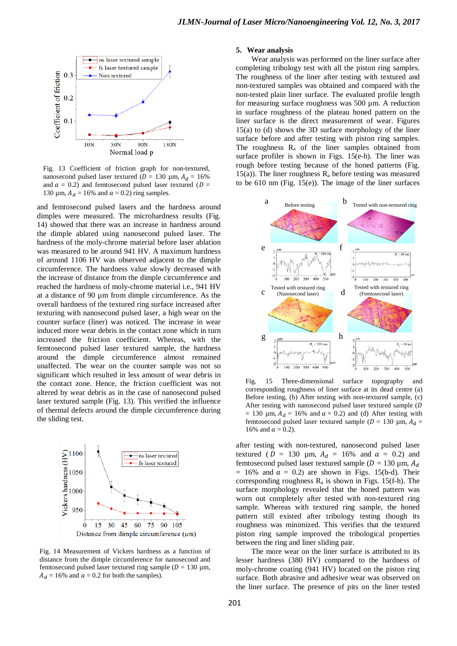![](_page_6_Figure_1.jpeg)

Fig. 13 Coefficient of friction graph for non-textured, nanosecond pulsed laser textured ( $D = 130 \mu$ m,  $A_d = 16\%$ and  $a = 0.2$ ) and femtosecond pulsed laser textured ( $D =$ 130  $\mu$ m,  $A_d = 16\%$  and  $a = 0.2$ ) ring samples.

and femtosecond pulsed lasers and the hardness around dimples were measured. The microhardness results (Fig. 14) showed that there was an increase in hardness around the dimple ablated using nanosecond pulsed laser. The hardness of the moly-chrome material before laser ablation was measured to be around 941 HV. A maximum hardness of around 1106 HV was observed adjacent to the dimple circumference. The hardness value slowly decreased with the increase of distance from the dimple circumference and reached the hardness of moly-chrome material i.e., 941 HV at a distance of 90 µm from dimple circumference. As the overall hardness of the textured ring surface increased after texturing with nanosecond pulsed laser, a high wear on the counter surface (liner) was noticed. The increase in wear induced more wear debris in the contact zone which in turn increased the friction coefficient. Whereas, with the femtosecond pulsed laser textured sample, the hardness around the dimple circumference almost remained unaffected. The wear on the counter sample was not so significant which resulted in less amount of wear debris in the contact zone. Hence, the friction coefficient was not altered by wear debris as in the case of nanosecond pulsed laser textured sample (Fig. 13). This verified the influence of thermal defects around the dimple circumference during the sliding test.

![](_page_6_Figure_4.jpeg)

Fig. 14 Measurement of Vickers hardness as a function of distance from the dimple circumference for nanosecond and femtosecond pulsed laser textured ring sample ( $D = 130 \mu m$ ,  $A_d = 16\%$  and  $a = 0.2$  for both the samples).

## **5. Wear analysis**

Wear analysis was performed on the liner surface after completing tribology test with all the piston ring samples. The roughness of the liner after testing with textured and non-textured samples was obtained and compared with the non-tested plain liner surface. The evaluated profile length for measuring surface roughness was  $500 \mu$ m. A reduction in surface roughness of the plateau honed pattern on the liner surface is the direct measurement of wear. Figures 15(a) to (d) shows the 3D surface morphology of the liner surface before and after testing with piston ring samples. The roughness  $R_a$  of the liner samples obtained from surface profiler is shown in Figs. 15(e-h). The liner was rough before testing because of the honed patterns (Fig. 15(a)). The liner roughness  $R_a$  before testing was measured to be 610 nm (Fig. 15(e)). The image of the liner surfaces

![](_page_6_Figure_8.jpeg)

Fig. 15 Three-dimensional surface topography and corresponding roughness of liner surface at its dead centre (a) Before testing, (b) After testing with non-textured sample, (c) After testing with nanosecond pulsed laser textured sample (D = 130  $\mu$ m,  $A_d$  = 16% and  $a$  = 0.2) and (d) After testing with femtosecond pulsed laser textured sample ( $D = 130 \mu m$ ,  $A_d =$ 16% and  $a = 0.2$ ).

after testing with non-textured, nanosecond pulsed laser textured ( $D = 130 \mu m$ ,  $A_d = 16\%$  and  $a = 0.2$ ) and femtosecond pulsed laser textured sample ( $D = 130 \,\mu$ m,  $A_d$  $= 16\%$  and  $a = 0.2$ ) are shown in Figs. 15(b-d). Their corresponding roughness  $R_a$  is shown in Figs. 15(f-h). The surface morphology revealed that the honed pattern was worn out completely after tested with non-textured ring sample. Whereas with textured ring sample, the honed pattern still existed after tribology testing though its roughness was minimized. This verifies that the textured piston ring sample improved the tribological properties between the ring and liner sliding pair.

The more wear on the liner surface is attributed to its lesser hardness (380 HV) compared to the hardness of moly-chrome coating (941 HV) located on the piston ring surface. Both abrasive and adhesive wear was observed on the liner surface. The presence of pits on the liner tested